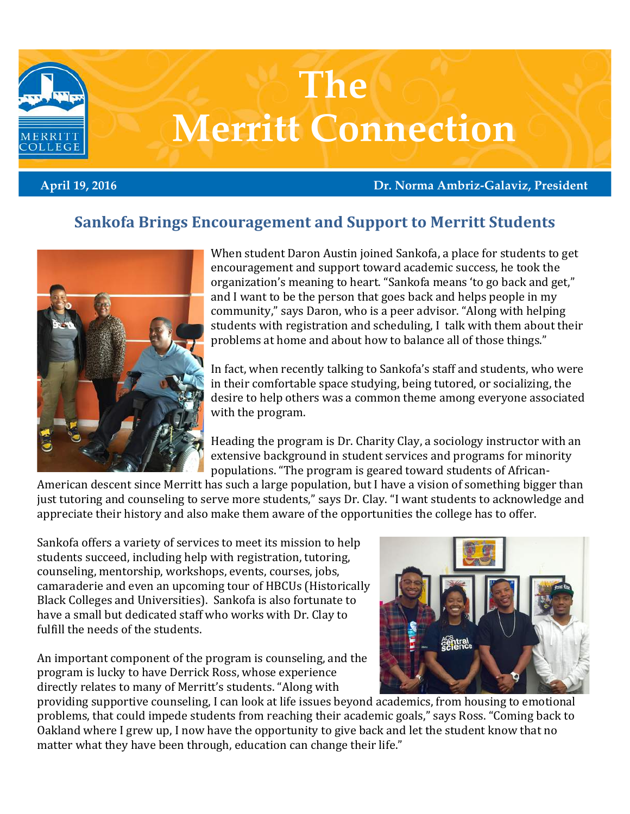

April 19, 2016 Dr. Norma Ambriz-Galaviz, President

## Sankofa Brings Encouragement and Support to Merritt Students



When student Daron Austin joined Sankofa, a place for students to get encouragement and support toward academic success, he took the organization's meaning to heart. "Sankofa means 'to go back and get," and I want to be the person that goes back and helps people in my community," says Daron, who is a peer advisor. "Along with helping students with registration and scheduling, I talk with them about their problems at home and about how to balance all of those things."

In fact, when recently talking to Sankofa's staff and students, who were in their comfortable space studying, being tutored, or socializing, the desire to help others was a common theme among everyone associated with the program.

Heading the program is Dr. Charity Clay, a sociology instructor with an extensive background in student services and programs for minority populations. "The program is geared toward students of African-

American descent since Merritt has such a large population, but I have a vision of something bigger than just tutoring and counseling to serve more students," says Dr. Clay. "I want students to acknowledge and appreciate their history and also make them aware of the opportunities the college has to offer.

Sankofa offers a variety of services to meet its mission to help students succeed, including help with registration, tutoring, counseling, mentorship, workshops, events, courses, jobs, camaraderie and even an upcoming tour of HBCUs (Historically Black Colleges and Universities). Sankofa is also fortunate to have a small but dedicated staff who works with Dr. Clay to fulfill the needs of the students.

An important component of the program is counseling, and the program is lucky to have Derrick Ross, whose experience directly relates to many of Merritt's students. "Along with



providing supportive counseling, I can look at life issues beyond academics, from housing to emotional problems, that could impede students from reaching their academic goals," says Ross. "Coming back to Oakland where I grew up, I now have the opportunity to give back and let the student know that no matter what they have been through, education can change their life."